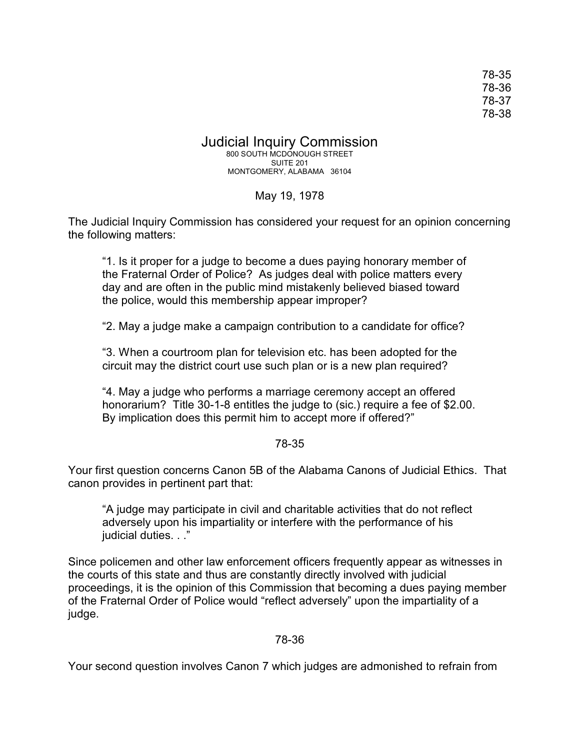78-35 78-36 78-37 78-38

Judicial Inquiry Commission 800 SOUTH MCDONOUGH STREET SUITE 201 MONTGOMERY, ALABAMA 36104

### May 19, 1978

The Judicial Inquiry Commission has considered your request for an opinion concerning the following matters:

"1. Is it proper for a judge to become a dues paying honorary member of the Fraternal Order of Police? As judges deal with police matters every day and are often in the public mind mistakenly believed biased toward the police, would this membership appear improper?

"2. May a judge make a campaign contribution to a candidate for office?

"3. When a courtroom plan for television etc. has been adopted for the circuit may the district court use such plan or is a new plan required?

"4. May a judge who performs a marriage ceremony accept an offered honorarium? Title 30-1-8 entitles the judge to (sic.) require a fee of \$2.00. By implication does this permit him to accept more if offered?"

## 78-35

Your first question concerns Canon 5B of the Alabama Canons of Judicial Ethics. That canon provides in pertinent part that:

"A judge may participate in civil and charitable activities that do not reflect adversely upon his impartiality or interfere with the performance of his judicial duties. . ."

Since policemen and other law enforcement officers frequently appear as witnesses in the courts of this state and thus are constantly directly involved with judicial proceedings, it is the opinion of this Commission that becoming a dues paying member of the Fraternal Order of Police would "reflect adversely" upon the impartiality of a judge.

## 78-36

Your second question involves Canon 7 which judges are admonished to refrain from